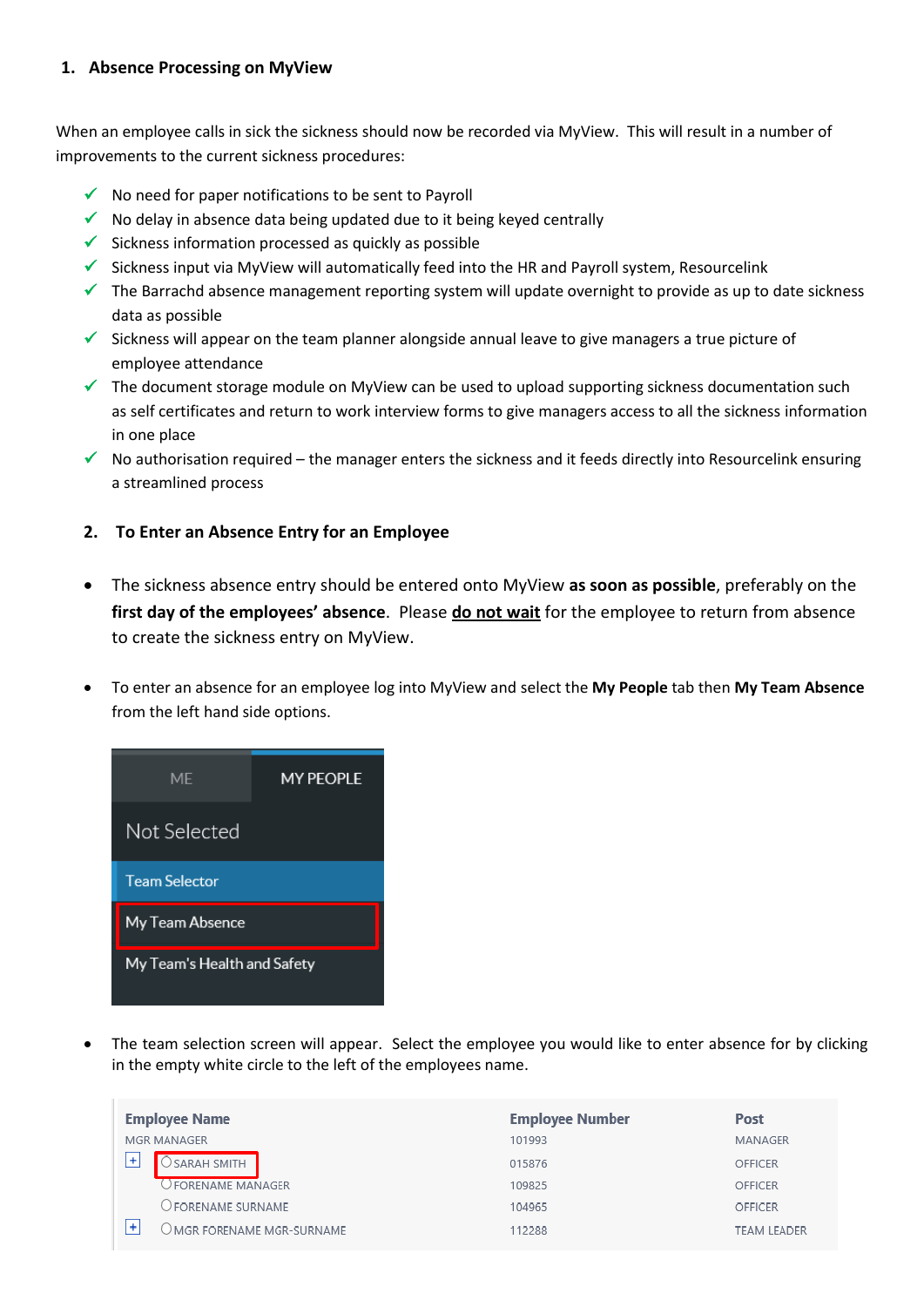## **1. Absence Processing on MyView**

When an employee calls in sick the sickness should now be recorded via MyView. This will result in a number of improvements to the current sickness procedures:

- $\checkmark$  No need for paper notifications to be sent to Payroll
- $\checkmark$  No delay in absence data being updated due to it being keyed centrally
- $\checkmark$  Sickness information processed as quickly as possible
- $\checkmark$  Sickness input via MyView will automatically feed into the HR and Payroll system, Resourcelink
- $\checkmark$  The Barrachd absence management reporting system will update overnight to provide as up to date sickness data as possible
- $\checkmark$  Sickness will appear on the team planner alongside annual leave to give managers a true picture of employee attendance
- $\checkmark$  The document storage module on MyView can be used to upload supporting sickness documentation such as self certificates and return to work interview forms to give managers access to all the sickness information in one place
- $\checkmark$  No authorisation required the manager enters the sickness and it feeds directly into Resourcelink ensuring a streamlined process

# **2. To Enter an Absence Entry for an Employee**

- The sickness absence entry should be entered onto MyView **as soon as possible**, preferably on the **first day of the employees' absence**. Please **do not wait** for the employee to return from absence to create the sickness entry on MyView.
- To enter an absence for an employee log into MyView and select the **My People** tab then **My Team Absence**  from the left hand side options.

| MF                          | <b>MY PEOPLE</b> |
|-----------------------------|------------------|
| Not Selected                |                  |
| <b>Team Selector</b>        |                  |
| My Team Absence             |                  |
| My Team's Health and Safety |                  |

 The team selection screen will appear. Select the employee you would like to enter absence for by clicking in the empty white circle to the left of the employees name.

|   | <b>Employee Name</b>                | <b>Employee Number</b> | Post               |
|---|-------------------------------------|------------------------|--------------------|
|   | MGR MANAGER                         | 101993                 | MANAGER            |
| ÷ | SARAH SMITH                         | 015876                 | <b>OFFICER</b>     |
|   | ) FORENAME MANAGER                  | 109825                 | <b>OFFICER</b>     |
|   | ) forename surname                  | 104965                 | OFFICER            |
| ÷ | $\bigcirc$ MGR FORENAME MGR-SURNAME | 112288                 | <b>TEAM LEADER</b> |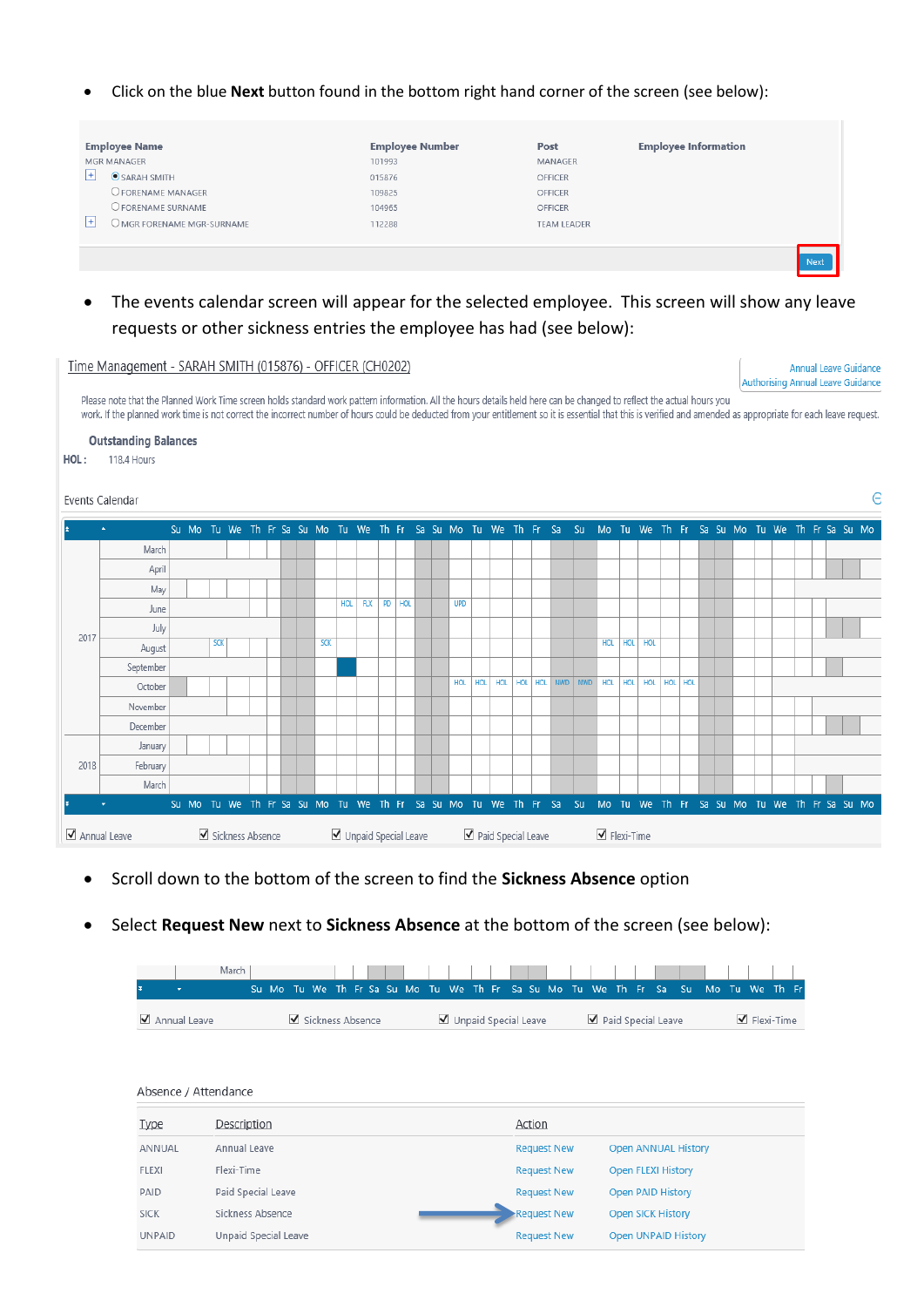Click on the blue **Next** button found in the bottom right hand corner of the screen (see below):

|    | <b>Employee Name</b>                | <b>Employee Number</b> | Post               | <b>Employee Information</b> |
|----|-------------------------------------|------------------------|--------------------|-----------------------------|
| H  | MGR MANAGER<br>$\odot$ SARAH SMITH  | 101993                 | MANAGER            |                             |
|    |                                     | 015876                 | <b>OFFICER</b>     |                             |
|    | O FORENAME MANAGER                  | 109825                 | OFFICER            |                             |
|    | O FORENAME SURNAME                  | 104965                 | OFFICER            |                             |
| ТŦ | $\bigcirc$ mgr forename mgr-surname | 112288                 | <b>TEAM LEADER</b> |                             |
|    |                                     |                        |                    |                             |
|    |                                     |                        |                    | Next                        |

# The events calendar screen will appear for the selected employee. This screen will show any leave requests or other sickness entries the employee has had (see below):

#### Time Management - SARAH SMITH (015876) - OFFICER (CH0202)

Annual Leave Guidance Authorising Annual Leave Guidance

 $\in$ 

Please note that the Planned Work Time screen holds standard work pattern information. All the hours details held here can be changed to reflect the actual hours you work. If the planned work time is not correct the incorrect number of hours could be deducted from your entitlement so it is essential that this is verified and amended as appropriate for each leave request.

**Outstanding Balances** 

 $HOL:$ 118.4 Hours

#### Events Calendar



- Scroll down to the bottom of the screen to find the **Sickness Absence** option
- Select **Request New** next to **Sickness Absence** at the bottom of the screen (see below):

|                |  |  |                  |  |  |  |                      |  |  |  |                    |  |  | .Su Mo Tu We Th Fr Sa Su Mo Tu We Th Fr Sa Su Mo Tu We Th Fr Sa Su Mo Tu We Th Fr |                                 |  |
|----------------|--|--|------------------|--|--|--|----------------------|--|--|--|--------------------|--|--|-----------------------------------------------------------------------------------|---------------------------------|--|
| ✔ Annual Leave |  |  | Sickness Absence |  |  |  | Unpaid Special Leave |  |  |  | Paid Special Leave |  |  |                                                                                   | $\blacktriangleleft$ Flexi-Time |  |

### Absence / Attendance

| <b>Type</b>   | Description          | Action             |                            |
|---------------|----------------------|--------------------|----------------------------|
| ANNUAL        | Annual Leave         | <b>Request New</b> | <b>Open ANNUAL History</b> |
| <b>FLEXI</b>  | Flexi-Time           | <b>Request New</b> | <b>Open FLEXI History</b>  |
| PAID          | Paid Special Leave   | <b>Request New</b> | <b>Open PAID History</b>   |
| <b>SICK</b>   | Sickness Absence     | Request New        | <b>Open SICK History</b>   |
| <b>UNPAID</b> | Unpaid Special Leave | <b>Request New</b> | <b>Open UNPAID History</b> |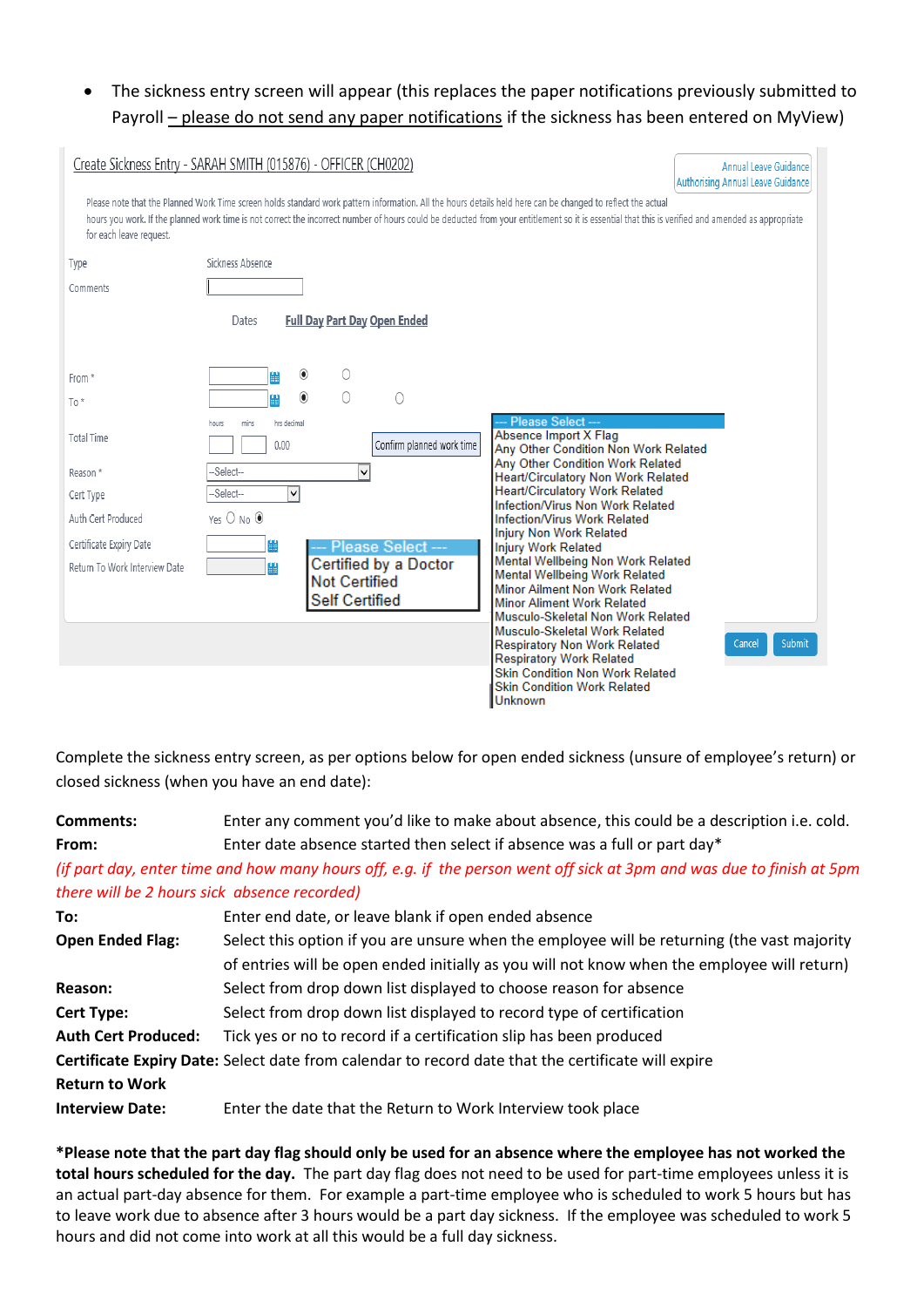# The sickness entry screen will appear (this replaces the paper notifications previously submitted to Payroll – please do not send any paper notifications if the sickness has been entered on MyView)

| for each leave request.       | Create Sickness Entry - SARAH SMITH (015876) - OFFICER (CH0202)<br><b>Annual Leave Guidance</b><br>Authorising Annual Leave Guidance<br>Please note that the Planned Work Time screen holds standard work pattern information. All the hours details held here can be changed to reflect the actual<br>hours you work. If the planned work time is not correct the incorrect number of hours could be deducted from your entitlement so it is essential that this is verified and amended as appropriate |
|-------------------------------|----------------------------------------------------------------------------------------------------------------------------------------------------------------------------------------------------------------------------------------------------------------------------------------------------------------------------------------------------------------------------------------------------------------------------------------------------------------------------------------------------------|
| Type                          | Sickness Absence                                                                                                                                                                                                                                                                                                                                                                                                                                                                                         |
| Comments                      |                                                                                                                                                                                                                                                                                                                                                                                                                                                                                                          |
|                               | <b>Full Day Part Day Open Ended</b><br>Dates                                                                                                                                                                                                                                                                                                                                                                                                                                                             |
| From *                        | $\circledcirc$                                                                                                                                                                                                                                                                                                                                                                                                                                                                                           |
| To*                           | $\circledbullet$<br>0<br>0                                                                                                                                                                                                                                                                                                                                                                                                                                                                               |
| <b>Total Time</b>             | - Please Select ---<br>hrs decimal<br>mins<br>hours<br>Absence Import X Flag<br>Confirm planned work time<br>0.00<br>Any Other Condition Non Work Related<br>Any Other Condition Work Related                                                                                                                                                                                                                                                                                                            |
| Reason *                      | -Select--<br>$\checkmark$<br>Heart/Circulatory Non Work Related                                                                                                                                                                                                                                                                                                                                                                                                                                          |
| Cert Type                     | <b>Heart/Circulatory Work Related</b><br>-Select--<br>V<br>Infection/Virus Non Work Related                                                                                                                                                                                                                                                                                                                                                                                                              |
| Auth Cert Produced            | Yes ○ No ●<br>Infection/Virus Work Related<br><b>Injury Non Work Related</b>                                                                                                                                                                                                                                                                                                                                                                                                                             |
| Certificate Expiry Date       | Please Select ---<br><b>Injury Work Related</b>                                                                                                                                                                                                                                                                                                                                                                                                                                                          |
| Return To Work Interview Date | Mental Wellbeing Non Work Related<br>Certified by a Doctor<br>鼺<br>Mental Wellbeing Work Related<br><b>Not Certified</b><br>Minor Ailment Non Work Related<br><b>Self Certified</b><br><b>Minor Aliment Work Related</b><br>Musculo-Skeletal Non Work Related                                                                                                                                                                                                                                            |
|                               | Musculo-Skeletal Work Related<br>Submit<br><b>Respiratory Non Work Related</b><br>Cancel<br><b>Respiratory Work Related</b><br><b>Skin Condition Non Work Related</b><br><b>Skin Condition Work Related</b><br><b>Unknown</b>                                                                                                                                                                                                                                                                            |

Complete the sickness entry screen, as per options below for open ended sickness (unsure of employee's return) or closed sickness (when you have an end date):

# **Comments:** Enter any comment you'd like to make about absence, this could be a description i.e. cold. **From:** Enter date absence started then select if absence was a full or part day\* *(if part day, enter time and how many hours off, e.g. if the person went off sick at 3pm and was due to finish at 5pm*

*there will be 2 hours sick absence recorded)*

| To:                        | Enter end date, or leave blank if open ended absence                                               |
|----------------------------|----------------------------------------------------------------------------------------------------|
| <b>Open Ended Flag:</b>    | Select this option if you are unsure when the employee will be returning (the vast majority        |
|                            | of entries will be open ended initially as you will not know when the employee will return)        |
| Reason:                    | Select from drop down list displayed to choose reason for absence                                  |
| <b>Cert Type:</b>          | Select from drop down list displayed to record type of certification                               |
| <b>Auth Cert Produced:</b> | Tick yes or no to record if a certification slip has been produced                                 |
|                            | Certificate Expiry Date: Select date from calendar to record date that the certificate will expire |
| <b>Return to Work</b>      |                                                                                                    |
| <b>Interview Date:</b>     | Enter the date that the Return to Work Interview took place                                        |

**\*Please note that the part day flag should only be used for an absence where the employee has not worked the total hours scheduled for the day.** The part day flag does not need to be used for part-time employees unless it is an actual part-day absence for them. For example a part-time employee who is scheduled to work 5 hours but has to leave work due to absence after 3 hours would be a part day sickness. If the employee was scheduled to work 5 hours and did not come into work at all this would be a full day sickness.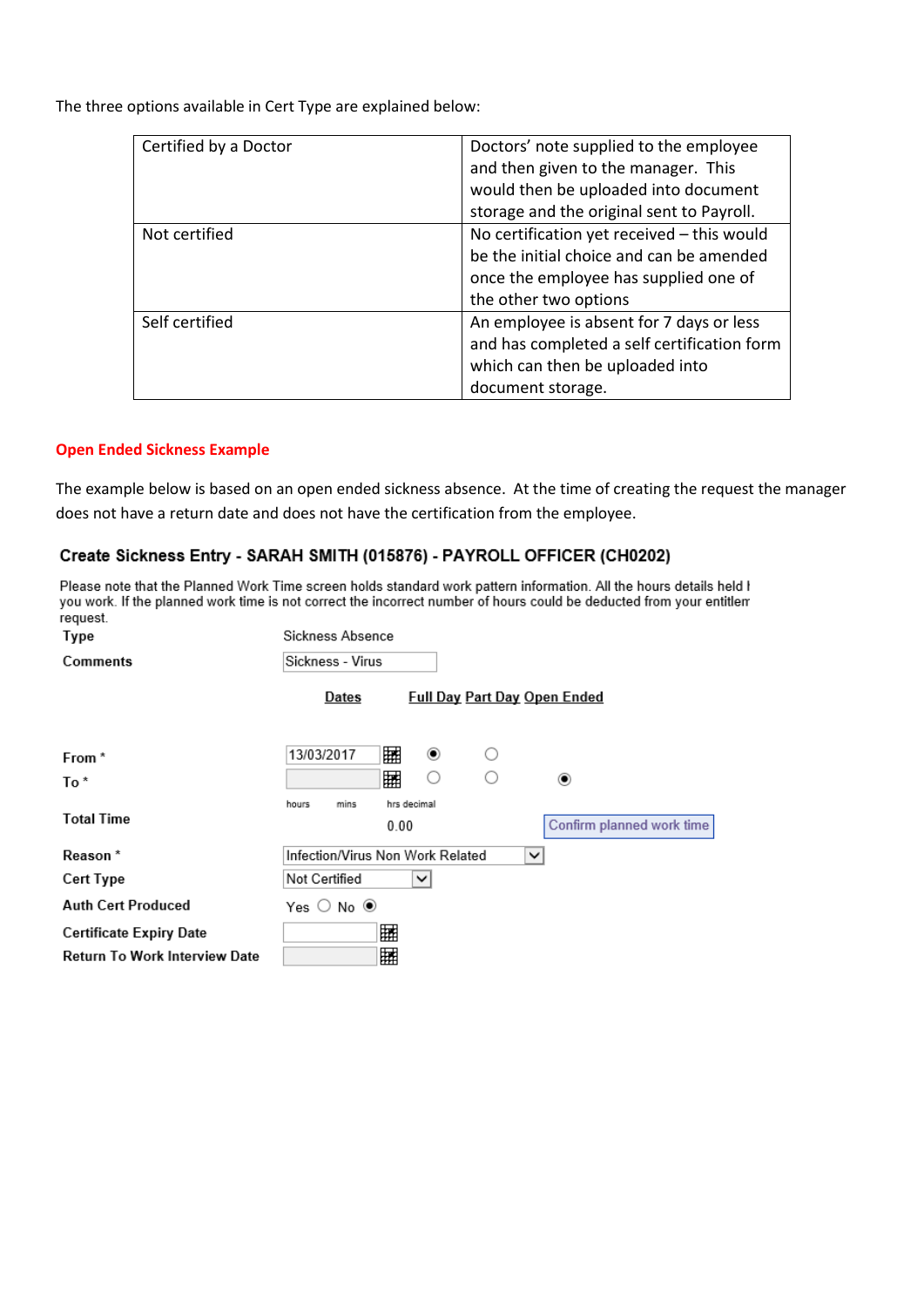The three options available in Cert Type are explained below:

| Certified by a Doctor | Doctors' note supplied to the employee<br>and then given to the manager. This<br>would then be uploaded into document<br>storage and the original sent to Payroll. |
|-----------------------|--------------------------------------------------------------------------------------------------------------------------------------------------------------------|
| Not certified         | No certification yet received - this would<br>be the initial choice and can be amended<br>once the employee has supplied one of<br>the other two options           |
| Self certified        | An employee is absent for 7 days or less<br>and has completed a self certification form<br>which can then be uploaded into<br>document storage.                    |

### **Open Ended Sickness Example**

The example below is based on an open ended sickness absence. At the time of creating the request the manager does not have a return date and does not have the certification from the employee.

## Create Sickness Entry - SARAH SMITH (015876) - PAYROLL OFFICER (CH0202)

Please note that the Planned Work Time screen holds standard work pattern information. All the hours details held I you work. If the planned work time is not correct the incorrect number of hours could be deducted from your entitlem request.  $\sim$  $\sim$ 

| lype                                                                   | Sickness Absence                     |                                     |
|------------------------------------------------------------------------|--------------------------------------|-------------------------------------|
| Comments                                                               | Sickness - Virus                     |                                     |
|                                                                        | Dates                                | <b>Full Day Part Day Open Ended</b> |
| From *                                                                 | 驑<br>13/03/2017                      | ◉<br>◯                              |
| To*                                                                    | 驑                                    | O<br>∩<br>◉                         |
| <b>Total Time</b>                                                      | hrs decimal<br>hours<br>mins<br>0.00 | Confirm planned work time           |
| Reason <sup>*</sup>                                                    | Infection/Virus Non Work Related     | $\checkmark$                        |
| <b>Cert Type</b>                                                       | Not Certified<br>$\checkmark$        |                                     |
| <b>Auth Cert Produced</b>                                              | Yes $\bigcirc$ No $\circledast$      |                                     |
| <b>Certificate Expiry Date</b><br><b>Return To Work Interview Date</b> | 囲<br>囲                               |                                     |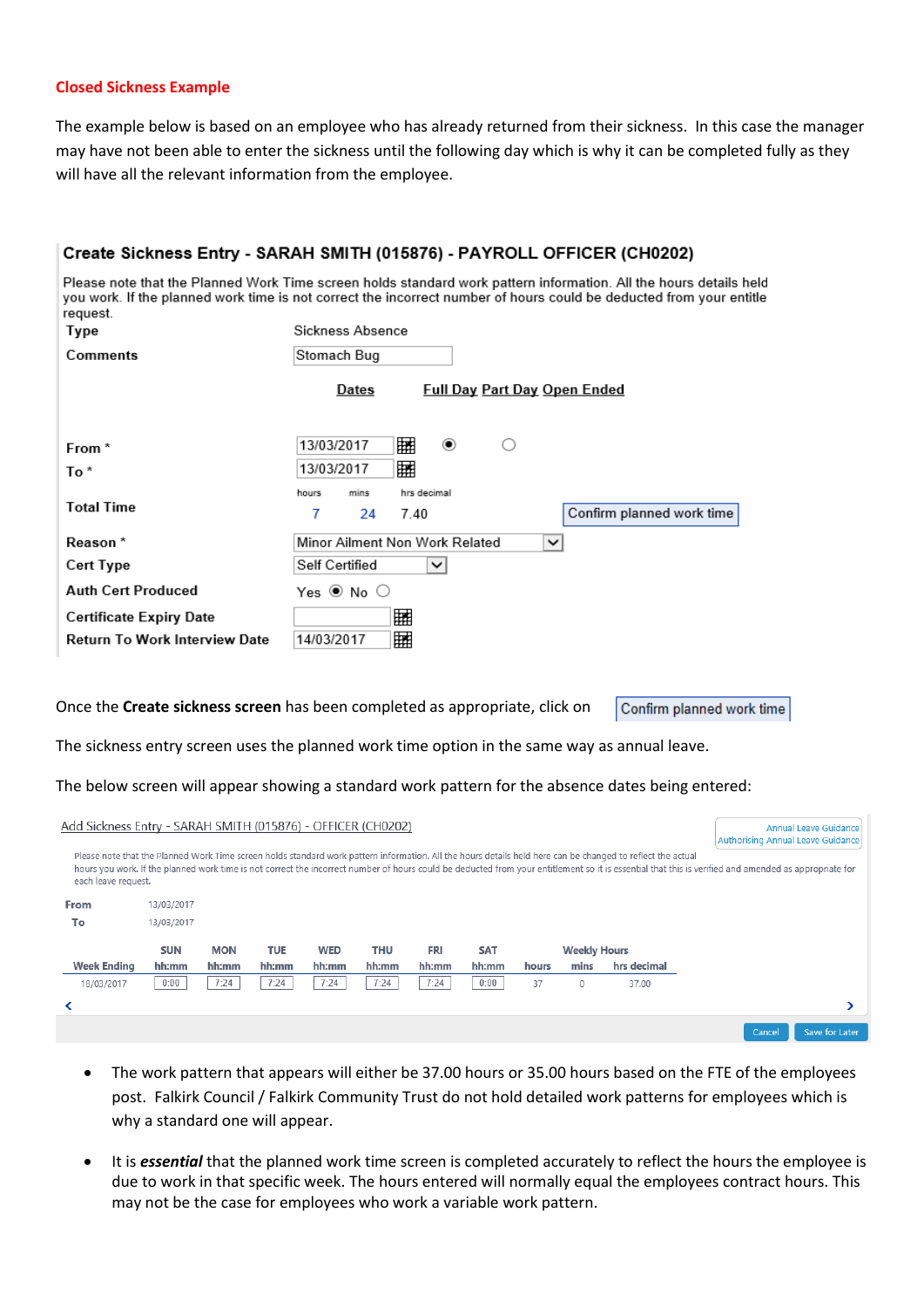### **Closed Sickness Example**

The example below is based on an employee who has already returned from their sickness. In this case the manager may have not been able to enter the sickness until the following day which is why it can be completed fully as they will have all the relevant information from the employee.

| Please note that the Planned Work Time screen holds standard work pattern information. All the hours details held<br>you work. If the planned work time is not correct the incorrect number of hours could be deducted from your entitle<br>request.<br>Sickness Absence<br>Type<br>Comments<br>Stomach Bug<br><b>Full Day Part Day Open Ended</b><br>Dates<br>镾<br>◉<br>13/03/2017<br>◯<br>From *<br>翢<br>13/03/2017<br>To*<br>hrs decimal<br>hours<br>mins<br><b>Total Time</b><br>Confirm planned work time<br>7<br>24<br>7.40<br>Minor Ailment Non Work Related<br>Reason *<br>$\checkmark$<br>Self Certified<br>Cert Type<br>◡<br><b>Auth Cert Produced</b><br>Yes ◉ No ○<br>賱<br><b>Certificate Expiry Date</b><br>Return To Work Interview Date<br>镾<br>14/03/2017<br>Once the Create sickness screen has been completed as appropriate, click on<br>Confirm planned work time<br>The sickness entry screen uses the planned work time option in the same way as annual leave.<br>The below screen will appear showing a standard work pattern for the absence dates being entered:<br>Add Sickness Entry - SARAH SMITH (015876) - OFFICER (CH0202)<br><b>Annual Leave Guidance</b><br><b>Authorising Annual Leave Guidance</b><br>Please note that the Planned Work Time screen holds standard work pattern information. All the hours details held here can be changed to reflect the actual<br>hours you work. If the planned work time is not correct the incorrect number of hours could be deducted from your entitlement so it is essential that this is verified and amended as appropriate for<br>each leave request.<br>From<br>13/03/2017<br>To<br>13/03/2017<br><b>SUN</b><br><b>MON</b><br><b>TUE</b><br><b>WED</b><br><b>THU</b><br><b>FRI</b><br><b>SAT</b><br><b>Weekly Hours</b><br><b>Week Ending</b><br>hh:mm<br>hh:mm<br>hh:mm<br>hh:mm<br>hh:mm<br>hh:mm<br>hh:mm<br>mins<br>hrs decimal<br>hours<br>0:00<br>7:24<br>7:24<br>7:24<br>7:24<br>0:00<br>18/03/2017<br>7:24<br>$\mathsf{O}\xspace$<br>37<br>37.00<br>≺<br>⋗<br>Save for Later<br>Cancel |  |  |  |  |  | Create Sickness Entry - SARAH SMITH (015876) - PAYROLL OFFICER (CH0202) |  |
|---------------------------------------------------------------------------------------------------------------------------------------------------------------------------------------------------------------------------------------------------------------------------------------------------------------------------------------------------------------------------------------------------------------------------------------------------------------------------------------------------------------------------------------------------------------------------------------------------------------------------------------------------------------------------------------------------------------------------------------------------------------------------------------------------------------------------------------------------------------------------------------------------------------------------------------------------------------------------------------------------------------------------------------------------------------------------------------------------------------------------------------------------------------------------------------------------------------------------------------------------------------------------------------------------------------------------------------------------------------------------------------------------------------------------------------------------------------------------------------------------------------------------------------------------------------------------------------------------------------------------------------------------------------------------------------------------------------------------------------------------------------------------------------------------------------------------------------------------------------------------------------------------------------------------------------------------------------------------------------------------------------------------------------------------------------------------------|--|--|--|--|--|-------------------------------------------------------------------------|--|
|                                                                                                                                                                                                                                                                                                                                                                                                                                                                                                                                                                                                                                                                                                                                                                                                                                                                                                                                                                                                                                                                                                                                                                                                                                                                                                                                                                                                                                                                                                                                                                                                                                                                                                                                                                                                                                                                                                                                                                                                                                                                                 |  |  |  |  |  |                                                                         |  |
|                                                                                                                                                                                                                                                                                                                                                                                                                                                                                                                                                                                                                                                                                                                                                                                                                                                                                                                                                                                                                                                                                                                                                                                                                                                                                                                                                                                                                                                                                                                                                                                                                                                                                                                                                                                                                                                                                                                                                                                                                                                                                 |  |  |  |  |  |                                                                         |  |
|                                                                                                                                                                                                                                                                                                                                                                                                                                                                                                                                                                                                                                                                                                                                                                                                                                                                                                                                                                                                                                                                                                                                                                                                                                                                                                                                                                                                                                                                                                                                                                                                                                                                                                                                                                                                                                                                                                                                                                                                                                                                                 |  |  |  |  |  |                                                                         |  |
|                                                                                                                                                                                                                                                                                                                                                                                                                                                                                                                                                                                                                                                                                                                                                                                                                                                                                                                                                                                                                                                                                                                                                                                                                                                                                                                                                                                                                                                                                                                                                                                                                                                                                                                                                                                                                                                                                                                                                                                                                                                                                 |  |  |  |  |  |                                                                         |  |
|                                                                                                                                                                                                                                                                                                                                                                                                                                                                                                                                                                                                                                                                                                                                                                                                                                                                                                                                                                                                                                                                                                                                                                                                                                                                                                                                                                                                                                                                                                                                                                                                                                                                                                                                                                                                                                                                                                                                                                                                                                                                                 |  |  |  |  |  |                                                                         |  |
|                                                                                                                                                                                                                                                                                                                                                                                                                                                                                                                                                                                                                                                                                                                                                                                                                                                                                                                                                                                                                                                                                                                                                                                                                                                                                                                                                                                                                                                                                                                                                                                                                                                                                                                                                                                                                                                                                                                                                                                                                                                                                 |  |  |  |  |  |                                                                         |  |
|                                                                                                                                                                                                                                                                                                                                                                                                                                                                                                                                                                                                                                                                                                                                                                                                                                                                                                                                                                                                                                                                                                                                                                                                                                                                                                                                                                                                                                                                                                                                                                                                                                                                                                                                                                                                                                                                                                                                                                                                                                                                                 |  |  |  |  |  |                                                                         |  |
|                                                                                                                                                                                                                                                                                                                                                                                                                                                                                                                                                                                                                                                                                                                                                                                                                                                                                                                                                                                                                                                                                                                                                                                                                                                                                                                                                                                                                                                                                                                                                                                                                                                                                                                                                                                                                                                                                                                                                                                                                                                                                 |  |  |  |  |  |                                                                         |  |
|                                                                                                                                                                                                                                                                                                                                                                                                                                                                                                                                                                                                                                                                                                                                                                                                                                                                                                                                                                                                                                                                                                                                                                                                                                                                                                                                                                                                                                                                                                                                                                                                                                                                                                                                                                                                                                                                                                                                                                                                                                                                                 |  |  |  |  |  |                                                                         |  |
|                                                                                                                                                                                                                                                                                                                                                                                                                                                                                                                                                                                                                                                                                                                                                                                                                                                                                                                                                                                                                                                                                                                                                                                                                                                                                                                                                                                                                                                                                                                                                                                                                                                                                                                                                                                                                                                                                                                                                                                                                                                                                 |  |  |  |  |  |                                                                         |  |
|                                                                                                                                                                                                                                                                                                                                                                                                                                                                                                                                                                                                                                                                                                                                                                                                                                                                                                                                                                                                                                                                                                                                                                                                                                                                                                                                                                                                                                                                                                                                                                                                                                                                                                                                                                                                                                                                                                                                                                                                                                                                                 |  |  |  |  |  |                                                                         |  |
|                                                                                                                                                                                                                                                                                                                                                                                                                                                                                                                                                                                                                                                                                                                                                                                                                                                                                                                                                                                                                                                                                                                                                                                                                                                                                                                                                                                                                                                                                                                                                                                                                                                                                                                                                                                                                                                                                                                                                                                                                                                                                 |  |  |  |  |  |                                                                         |  |
|                                                                                                                                                                                                                                                                                                                                                                                                                                                                                                                                                                                                                                                                                                                                                                                                                                                                                                                                                                                                                                                                                                                                                                                                                                                                                                                                                                                                                                                                                                                                                                                                                                                                                                                                                                                                                                                                                                                                                                                                                                                                                 |  |  |  |  |  |                                                                         |  |
|                                                                                                                                                                                                                                                                                                                                                                                                                                                                                                                                                                                                                                                                                                                                                                                                                                                                                                                                                                                                                                                                                                                                                                                                                                                                                                                                                                                                                                                                                                                                                                                                                                                                                                                                                                                                                                                                                                                                                                                                                                                                                 |  |  |  |  |  |                                                                         |  |
|                                                                                                                                                                                                                                                                                                                                                                                                                                                                                                                                                                                                                                                                                                                                                                                                                                                                                                                                                                                                                                                                                                                                                                                                                                                                                                                                                                                                                                                                                                                                                                                                                                                                                                                                                                                                                                                                                                                                                                                                                                                                                 |  |  |  |  |  |                                                                         |  |
|                                                                                                                                                                                                                                                                                                                                                                                                                                                                                                                                                                                                                                                                                                                                                                                                                                                                                                                                                                                                                                                                                                                                                                                                                                                                                                                                                                                                                                                                                                                                                                                                                                                                                                                                                                                                                                                                                                                                                                                                                                                                                 |  |  |  |  |  |                                                                         |  |
|                                                                                                                                                                                                                                                                                                                                                                                                                                                                                                                                                                                                                                                                                                                                                                                                                                                                                                                                                                                                                                                                                                                                                                                                                                                                                                                                                                                                                                                                                                                                                                                                                                                                                                                                                                                                                                                                                                                                                                                                                                                                                 |  |  |  |  |  |                                                                         |  |
|                                                                                                                                                                                                                                                                                                                                                                                                                                                                                                                                                                                                                                                                                                                                                                                                                                                                                                                                                                                                                                                                                                                                                                                                                                                                                                                                                                                                                                                                                                                                                                                                                                                                                                                                                                                                                                                                                                                                                                                                                                                                                 |  |  |  |  |  |                                                                         |  |
|                                                                                                                                                                                                                                                                                                                                                                                                                                                                                                                                                                                                                                                                                                                                                                                                                                                                                                                                                                                                                                                                                                                                                                                                                                                                                                                                                                                                                                                                                                                                                                                                                                                                                                                                                                                                                                                                                                                                                                                                                                                                                 |  |  |  |  |  |                                                                         |  |
|                                                                                                                                                                                                                                                                                                                                                                                                                                                                                                                                                                                                                                                                                                                                                                                                                                                                                                                                                                                                                                                                                                                                                                                                                                                                                                                                                                                                                                                                                                                                                                                                                                                                                                                                                                                                                                                                                                                                                                                                                                                                                 |  |  |  |  |  |                                                                         |  |
|                                                                                                                                                                                                                                                                                                                                                                                                                                                                                                                                                                                                                                                                                                                                                                                                                                                                                                                                                                                                                                                                                                                                                                                                                                                                                                                                                                                                                                                                                                                                                                                                                                                                                                                                                                                                                                                                                                                                                                                                                                                                                 |  |  |  |  |  |                                                                         |  |

- The work pattern that appears will either be 37.00 hours or 35.00 hours based on the FTE of the employees post. Falkirk Council / Falkirk Community Trust do not hold detailed work patterns for employees which is why a standard one will appear.
- It is *essential* that the planned work time screen is completed accurately to reflect the hours the employee is due to work in that specific week. The hours entered will normally equal the employees contract hours. This may not be the case for employees who work a variable work pattern.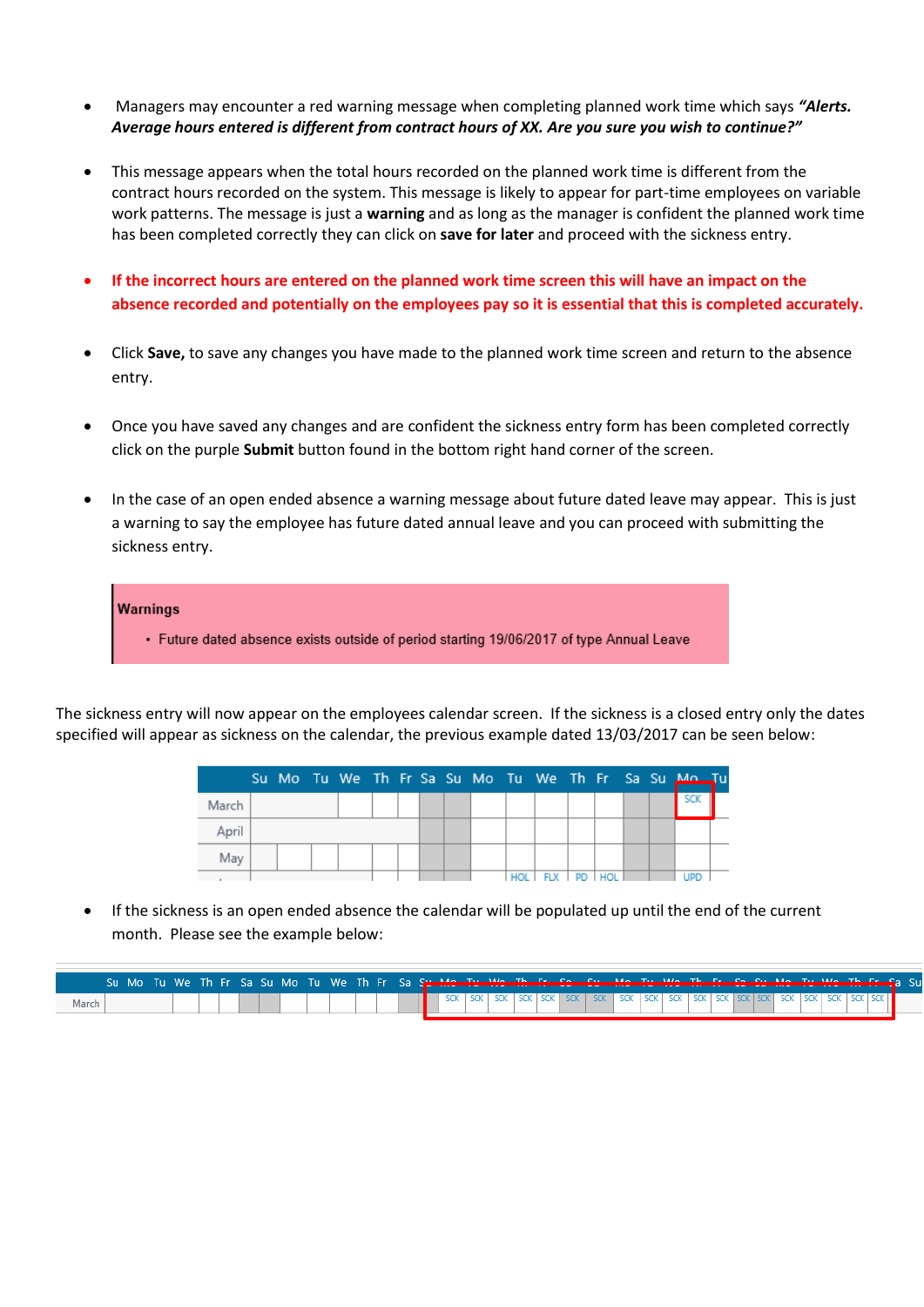- Managers may encounter a red warning message when completing planned work time which says *"Alerts. Average hours entered is different from contract hours of XX. Are you sure you wish to continue?"*
- This message appears when the total hours recorded on the planned work time is different from the contract hours recorded on the system. This message is likely to appear for part-time employees on variable work patterns. The message is just a **warning** and as long as the manager is confident the planned work time has been completed correctly they can click on **save for later** and proceed with the sickness entry.
- **If the incorrect hours are entered on the planned work time screen this will have an impact on the absence recorded and potentially on the employees pay so it is essential that this is completed accurately.**
- Click **Save,** to save any changes you have made to the planned work time screen and return to the absence entry.
- Once you have saved any changes and are confident the sickness entry form has been completed correctly click on the purple **Submit** button found in the bottom right hand corner of the screen.
- In the case of an open ended absence a warning message about future dated leave may appear. This is just a warning to say the employee has future dated annual leave and you can proceed with submitting the sickness entry.



The sickness entry will now appear on the employees calendar screen. If the sickness is a closed entry only the dates specified will appear as sickness on the calendar, the previous example dated 13/03/2017 can be seen below:

|       |  |  |  |  |            |            |    |  | Su Mo Tu We Th Fr Sa Su Mo Tu We Th Fr Sa Su Mo Tu |  |
|-------|--|--|--|--|------------|------------|----|--|----------------------------------------------------|--|
| March |  |  |  |  |            |            |    |  | SCK                                                |  |
| April |  |  |  |  |            |            |    |  |                                                    |  |
| May   |  |  |  |  |            |            |    |  |                                                    |  |
|       |  |  |  |  | <b>HOI</b> | <b>CLV</b> | mm |  | IDD                                                |  |

 If the sickness is an open ended absence the calendar will be populated up until the end of the current month. Please see the example below:

|       | Su Mo Tu We Th Fr Sa Su Mo Tu We Th Fr Sa Su Mo Tu We Th Fr So. Su Mo Tu We Th Fr So Su Mo Tu We Th Fr Sa Su |  |  |  |  |  |  |  |  |  |  |  |  |  |  |  |  |  |
|-------|--------------------------------------------------------------------------------------------------------------|--|--|--|--|--|--|--|--|--|--|--|--|--|--|--|--|--|
| March |                                                                                                              |  |  |  |  |  |  |  |  |  |  |  |  |  |  |  |  |  |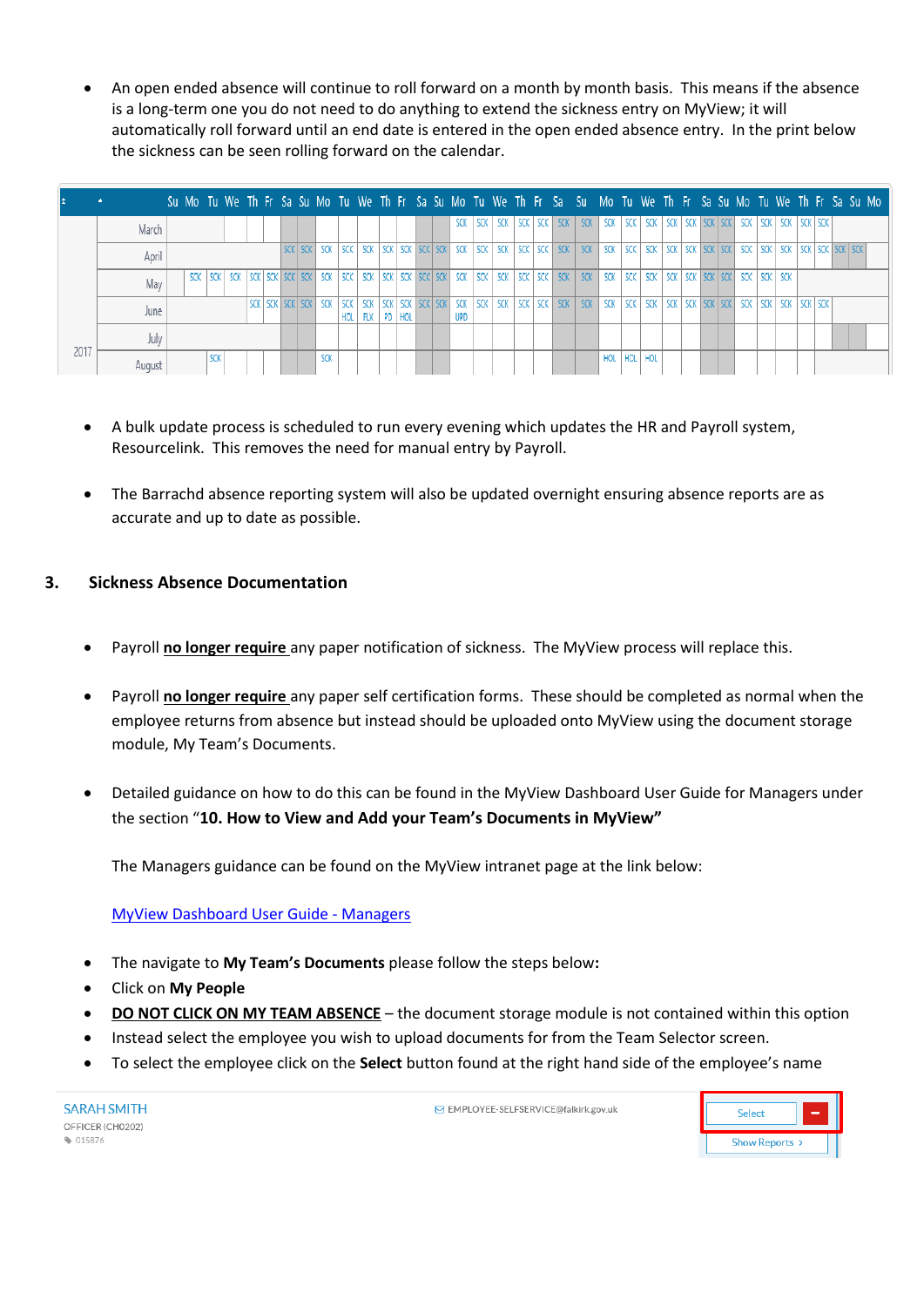An open ended absence will continue to roll forward on a month by month basis. This means if the absence is a long-term one you do not need to do anything to extend the sickness entry on MyView; it will automatically roll forward until an end date is entered in the open ended absence entry. In the print below the sickness can be seen rolling forward on the calendar.

|      | <b>A</b> |  |  |  |                 |     |            |                                             |  |  |                          |      |             |  | Su Mo Tu We Th Fr Sa Su Mo Tu We Th Fr Sa Su Mo Tu We Th Fr Sa Su Mo Tu We Th Fr Sa Su Mo Tu We Th Fr Sa Su Mo |     |     |             |  |  |                         |     |                 |  |  |  |
|------|----------|--|--|--|-----------------|-----|------------|---------------------------------------------|--|--|--------------------------|------|-------------|--|----------------------------------------------------------------------------------------------------------------|-----|-----|-------------|--|--|-------------------------|-----|-----------------|--|--|--|
|      | March    |  |  |  |                 |     |            |                                             |  |  | SCK                      | SCK. | "   SCK 1 . |  | SCK SCK SCK                                                                                                    |     |     | SCK SCK SCK |  |  | SCK SCK SCK SCK SCK SCK | SCK | SCK   SCK   SCK |  |  |  |
|      | April    |  |  |  |                 |     |            |                                             |  |  |                          |      |             |  |                                                                                                                |     |     |             |  |  |                         |     |                 |  |  |  |
|      | May      |  |  |  |                 |     |            |                                             |  |  |                          |      |             |  |                                                                                                                |     |     |             |  |  |                         |     |                 |  |  |  |
|      | June     |  |  |  | SCK SCK SCK SCK | SCK | <b>SCK</b> | SCK SCK SCK SCK SCK<br>HOL   FLX   PD   HOL |  |  | <b>SCK</b><br><b>UPD</b> |      |             |  |                                                                                                                |     |     |             |  |  |                         |     |                 |  |  |  |
|      | July     |  |  |  |                 |     |            |                                             |  |  |                          |      |             |  |                                                                                                                |     |     |             |  |  |                         |     |                 |  |  |  |
| 2017 | August   |  |  |  |                 | SCK |            |                                             |  |  |                          |      |             |  |                                                                                                                | HOL | HOL | HOL         |  |  |                         |     |                 |  |  |  |

- A bulk update process is scheduled to run every evening which updates the HR and Payroll system, Resourcelink. This removes the need for manual entry by Payroll.
- The Barrachd absence reporting system will also be updated overnight ensuring absence reports are as accurate and up to date as possible.

# **3. Sickness Absence Documentation**

- Payroll **no longer require** any paper notification of sickness. The MyView process will replace this.
- Payroll **no longer require** any paper self certification forms. These should be completed as normal when the employee returns from absence but instead should be uploaded onto MyView using the document storage module, My Team's Documents.
- Detailed guidance on how to do this can be found in the MyView Dashboard User Guide for Managers under the section "**10. How to View and Add your Team's Documents in MyView"**

The Managers guidance can be found on the MyView intranet page at the link below:

[MyView Dashboard User Guide -](http://inside.falkirk.gov.uk/systems/docs/my-view/My%20View%20Dashboard%20User%20Guide%20-%20Managers.pdf?v=201611291507) Managers

- The navigate to **My Team's Documents** please follow the steps below**:**
- Click on **My People**
- **DO NOT CLICK ON MY TEAM ABSENCE** the document storage module is not contained within this option
- Instead select the employee you wish to upload documents for from the Team Selector screen.
- To select the employee click on the **Select** button found at the right hand side of the employee's name

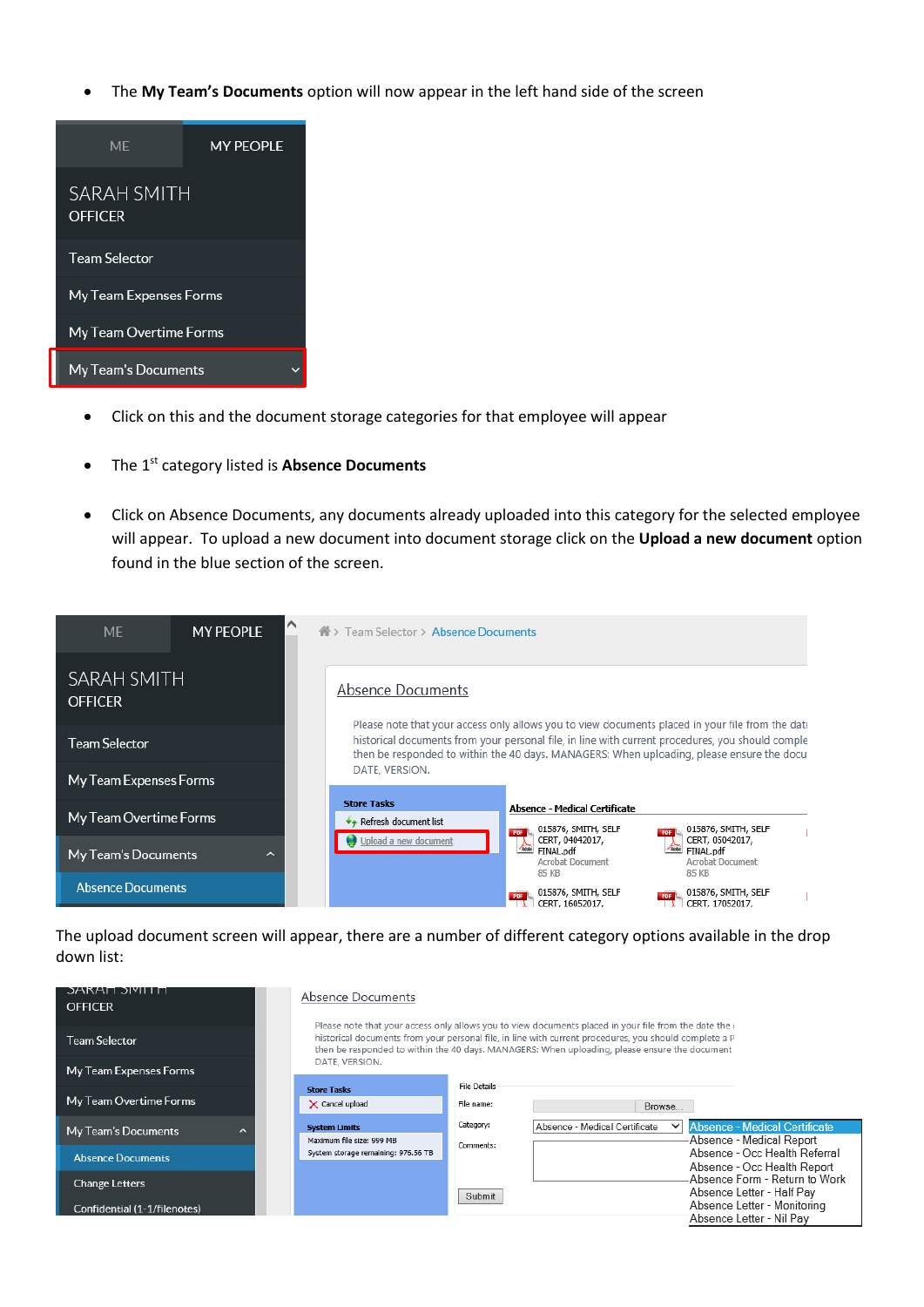The **My Team's Documents** option will now appear in the left hand side of the screen



- Click on this and the document storage categories for that employee will appear
- **•** The 1<sup>st</sup> category listed is **Absence Documents**
- Click on Absence Documents, any documents already uploaded into this category for the selected employee will appear. To upload a new document into document storage click on the **Upload a new document** option found in the blue section of the screen.



The upload document screen will appear, there are a number of different category options available in the drop down list:

| ЭАКАП ЭРШТП<br><b>OFFICER</b>                         | Absence Documents                                 |                                   |                                                                                                                                                                                                                                                                                                                            |
|-------------------------------------------------------|---------------------------------------------------|-----------------------------------|----------------------------------------------------------------------------------------------------------------------------------------------------------------------------------------------------------------------------------------------------------------------------------------------------------------------------|
| <b>Team Selector</b>                                  |                                                   |                                   | Please note that your access only allows you to view documents placed in your file from the date the $\epsilon$<br>historical documents from your personal file, in line with current procedures, you should complete a P<br>then be responded to within the 40 days. MANAGERS: When uploading, please ensure the document |
| My Team Expenses Forms                                | DATE, VERSION.                                    |                                   |                                                                                                                                                                                                                                                                                                                            |
| My Team Overtime Forms                                | <b>Store Tasks</b><br>$\times$ Cancel upload      | <b>File Details</b><br>File name: | Browse                                                                                                                                                                                                                                                                                                                     |
| My Team's Documents<br>ᄉ                              | <b>System Limits</b><br>Maximum file size: 999 MB | Category:<br>Comments:            | <b>Absence - Medical Certificate</b><br>Absence - Medical Certificate<br>$\checkmark$<br>Absence - Medical Report                                                                                                                                                                                                          |
| <b>Absence Documents</b>                              | System storage remaining: 976.56 TB               |                                   | Absence - Occ Health Referral<br>Absence - Occ Health Report                                                                                                                                                                                                                                                               |
| <b>Change Letters</b><br>Confidential (1-1/filenotes) |                                                   | Submit                            | Absence Form - Return to Work<br>Absence Letter - Half Pay<br>Absence Letter - Monitoring<br>Absence Letter - Nil Pav                                                                                                                                                                                                      |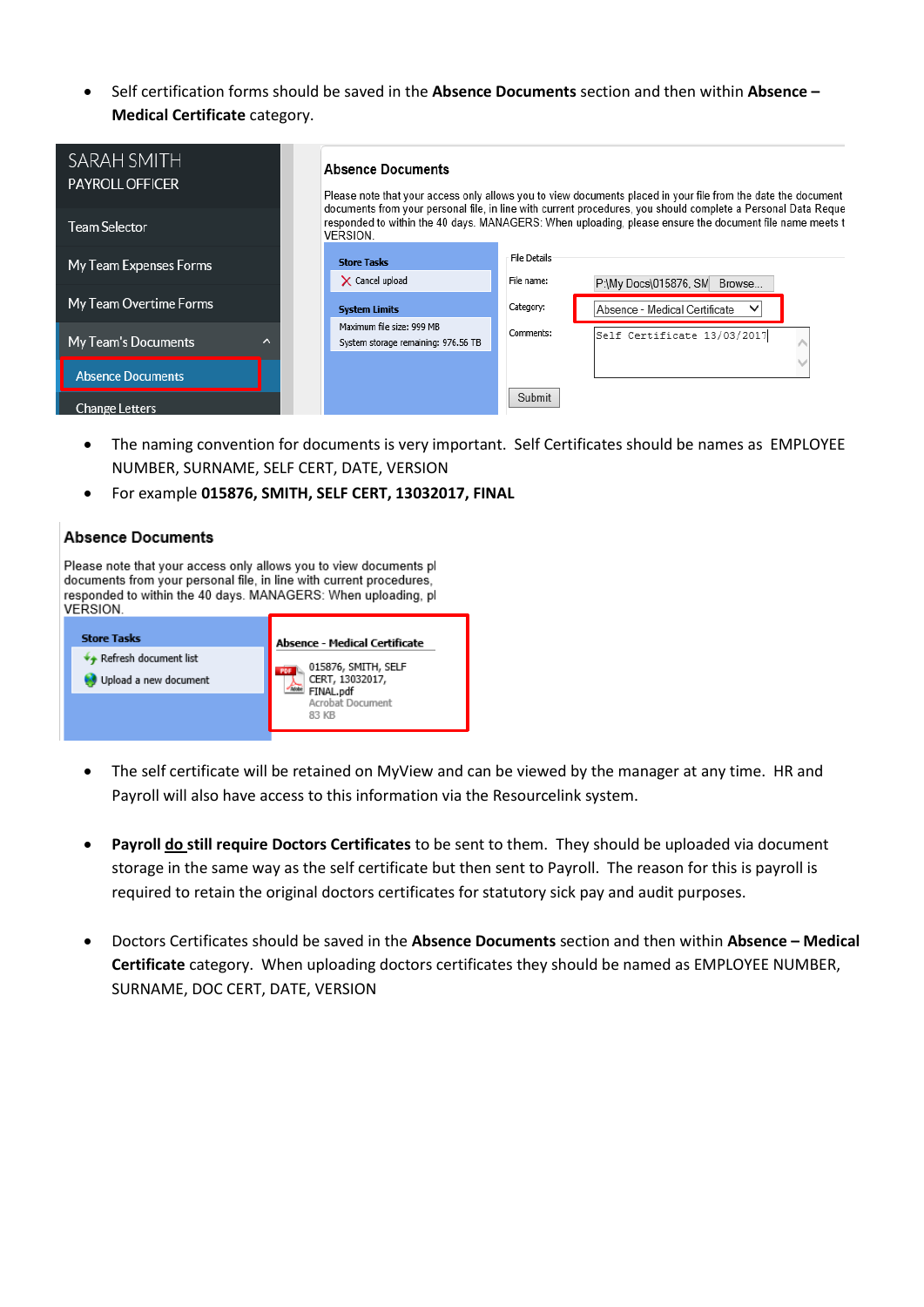Self certification forms should be saved in the **Absence Documents** section and then within **Absence – Medical Certificate** category.

| SARAH SMITH<br><b>PAYROLL OFFICER</b> |   | <b>Absence Documents</b>                                         |              | Please note that your access only allows you to view documents placed in your file from the date the document                                                                                                            |
|---------------------------------------|---|------------------------------------------------------------------|--------------|--------------------------------------------------------------------------------------------------------------------------------------------------------------------------------------------------------------------------|
| <b>Team Selector</b>                  |   | <b>VERSION.</b>                                                  |              | documents from your personal file, in line with current procedures, you should complete a Personal Data Reque<br>responded to within the 40 days. MANAGERS: When uploading, please ensure the document file name meets t |
| My Team Expenses Forms                |   | <b>Store Tasks</b>                                               | File Details |                                                                                                                                                                                                                          |
|                                       |   | $\times$ Cancel upload                                           | File name:   | P:\My Docs\015876, SM Browse                                                                                                                                                                                             |
| My Team Overtime Forms                |   | <b>System Limits</b>                                             | Category:    | Absence - Medical Certificate<br>$\checkmark$                                                                                                                                                                            |
| My Team's Documents                   | ㅅ | Maximum file size: 999 MB<br>System storage remaining: 976.56 TB | Comments:    | Self Certificate 13/03/2017                                                                                                                                                                                              |
| <b>Absence Documents</b>              |   |                                                                  |              |                                                                                                                                                                                                                          |
| <b>Change Letters</b>                 |   |                                                                  | Submit       |                                                                                                                                                                                                                          |

- The naming convention for documents is very important. Self Certificates should be names as EMPLOYEE NUMBER, SURNAME, SELF CERT, DATE, VERSION
- For example **015876, SMITH, SELF CERT, 13032017, FINAL**

### **Absence Documents**

Please note that your access only allows you to view documents pl documents from your personal file, in line with current procedures, responded to within the 40 days. MANAGERS: When uploading, pl VERSION.

| <b>Store Tasks</b>                                      | <b>Absence - Medical Certificate</b>                                             |
|---------------------------------------------------------|----------------------------------------------------------------------------------|
| $\hat{}$ Refresh document list<br>Upload a new document | 015876, SMITH, SELF<br>CERT, 13032017,<br>FINAL.pdf<br>Acrobat Document<br>83 KB |
|                                                         |                                                                                  |

- The self certificate will be retained on MyView and can be viewed by the manager at any time. HR and Payroll will also have access to this information via the Resourcelink system.
- **Payroll do still require Doctors Certificates** to be sent to them. They should be uploaded via document storage in the same way as the self certificate but then sent to Payroll. The reason for this is payroll is required to retain the original doctors certificates for statutory sick pay and audit purposes.
- Doctors Certificates should be saved in the **Absence Documents** section and then within **Absence – Medical Certificate** category. When uploading doctors certificates they should be named as EMPLOYEE NUMBER, SURNAME, DOC CERT, DATE, VERSION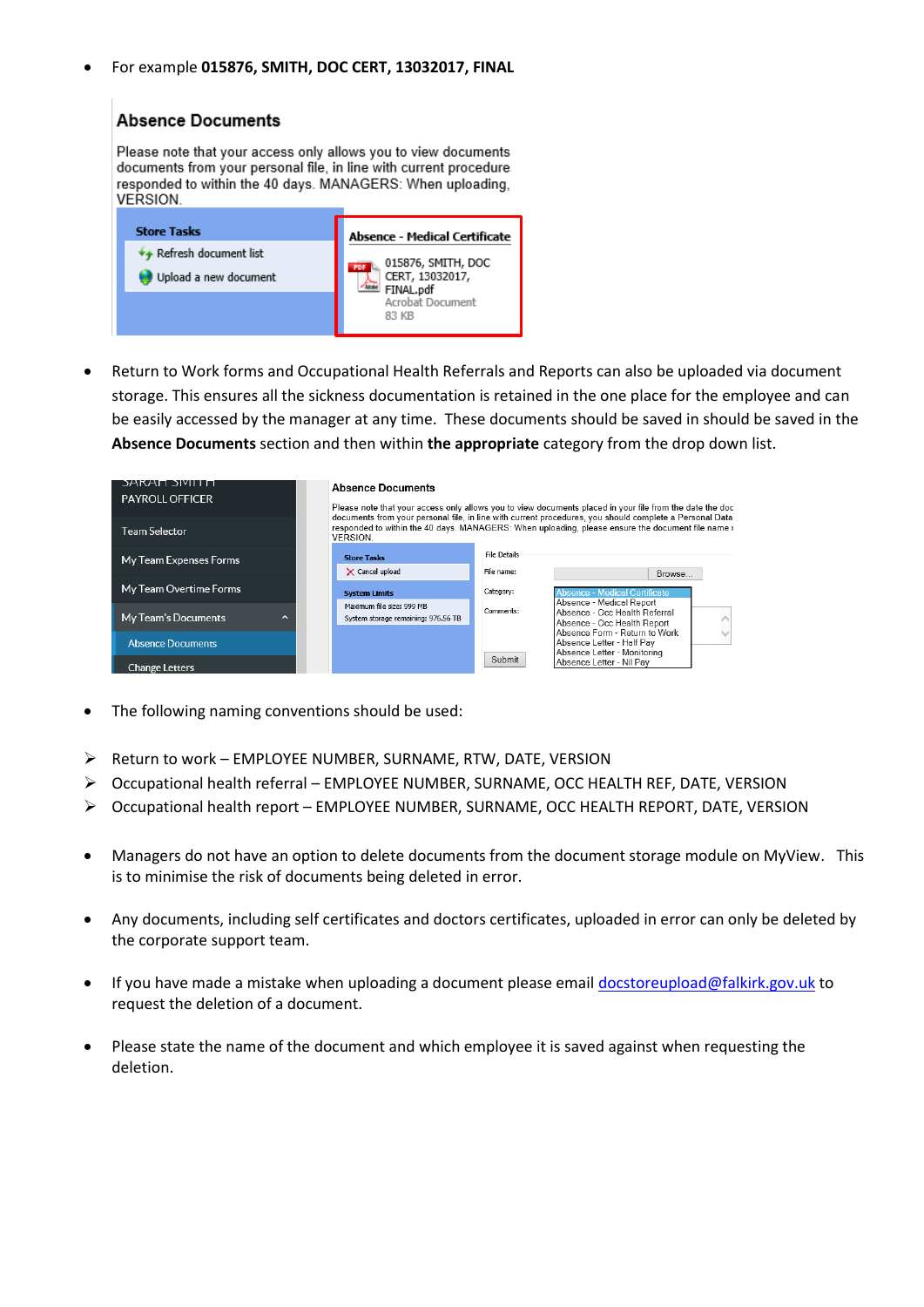For example **015876, SMITH, DOC CERT, 13032017, FINAL**



 Return to Work forms and Occupational Health Referrals and Reports can also be uploaded via document storage. This ensures all the sickness documentation is retained in the one place for the employee and can be easily accessed by the manager at any time. These documents should be saved in should be saved in the **Absence Documents** section and then within **the appropriate** category from the drop down list.

| <b>DAKAN JIYILL N</b>            | <b>Absence Documents</b>                                         |                     |                                                                                                                                                                                                                     |
|----------------------------------|------------------------------------------------------------------|---------------------|---------------------------------------------------------------------------------------------------------------------------------------------------------------------------------------------------------------------|
| <b>PAYROLL OFFICER</b>           |                                                                  |                     | Please note that your access only allows you to view documents placed in your file from the date the doc<br>documents from your personal file, in line with current procedures, you should complete a Personal Data |
| Team Selector                    | <b>VERSION.</b>                                                  |                     | responded to within the 40 days. MANAGERS: When uploading, please ensure the document file name r                                                                                                                   |
| My Team Expenses Forms           | <b>Store Tasks</b>                                               | <b>File Details</b> |                                                                                                                                                                                                                     |
|                                  | $\times$ Cancel upload                                           | File name:          | Browse                                                                                                                                                                                                              |
| My Team Overtime Forms           | <b>System Limits</b>                                             | Category:           | <b>Absence - Medical Certificate</b>                                                                                                                                                                                |
| My Team's Documents<br>$\lambda$ | Maximum file size: 999 MB<br>System storage remaining: 976.56 TB | Comments:           | Absence - Medical Report<br>Absence - Occ Health Referral                                                                                                                                                           |
|                                  |                                                                  |                     | Absence - Occ Health Report<br>Absence Form - Return to Work                                                                                                                                                        |
| <b>Absence Documents</b>         |                                                                  |                     | Absence Letter - Half Pav<br>Absence Letter - Monitoring                                                                                                                                                            |
| <b>Change Letters</b>            |                                                                  | Submit              | Absence Letter - Nil Pay                                                                                                                                                                                            |

- The following naming conventions should be used:
- $\triangleright$  Return to work EMPLOYEE NUMBER, SURNAME, RTW, DATE, VERSION
- Occupational health referral EMPLOYEE NUMBER, SURNAME, OCC HEALTH REF, DATE, VERSION
- Occupational health report EMPLOYEE NUMBER, SURNAME, OCC HEALTH REPORT, DATE, VERSION
- Managers do not have an option to delete documents from the document storage module on MyView. This is to minimise the risk of documents being deleted in error.
- Any documents, including self certificates and doctors certificates, uploaded in error can only be deleted by the corporate support team.
- If you have made a mistake when uploading a document please email [docstoreupload@falkirk.gov.uk](mailto:docstoreupload@falkirk.gov.uk) to request the deletion of a document.
- Please state the name of the document and which employee it is saved against when requesting the deletion.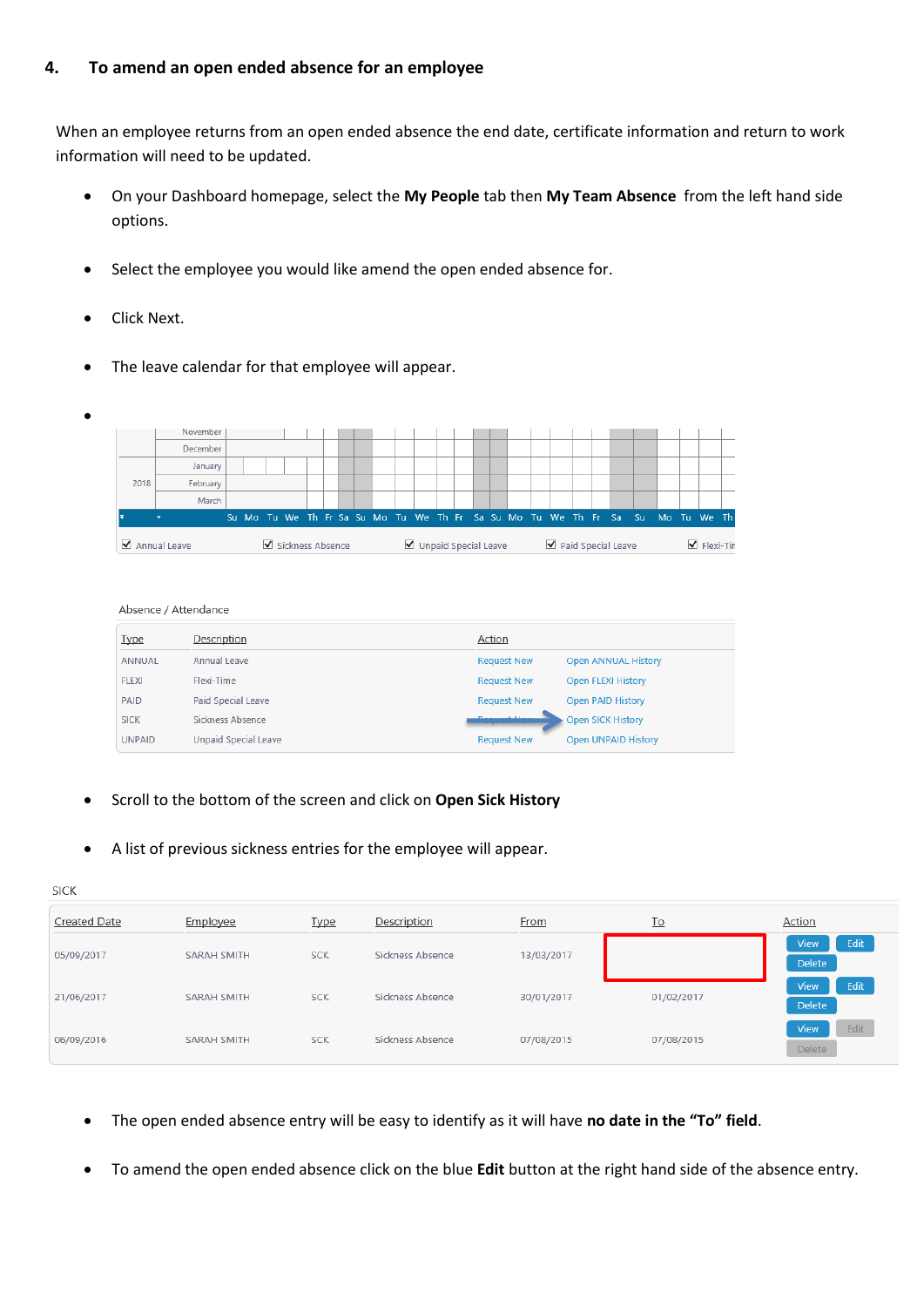### **4. To amend an open ended absence for an employee**

When an employee returns from an open ended absence the end date, certificate information and return to work information will need to be updated.

- On your Dashboard homepage, select the **My People** tab then **My Team Absence** from the left hand side options.
- Select the employee you would like amend the open ended absence for.
- Click Next.
- The leave calendar for that employee will appear.

![](_page_10_Figure_6.jpeg)

#### Absence / Attendance

| <u>Type</u>   | Description          | Action                      |                            |
|---------------|----------------------|-----------------------------|----------------------------|
| ANNUAL        | Annual Leave         | <b>Request New</b>          | <b>Open ANNUAL History</b> |
| <b>FLEXI</b>  | Flexi-Time           | <b>Request New</b>          | <b>Open FLEXI History</b>  |
| PAID          | Paid Special Leave   | <b>Request New</b>          | <b>Open PAID History</b>   |
| <b>SICK</b>   | Sickness Absence     | <b>Distances of Alberta</b> | <b>Open SICK History</b>   |
| <b>UNPAID</b> | Unpaid Special Leave | <b>Request New</b>          | <b>Open UNPAID History</b> |

- Scroll to the bottom of the screen and click on **Open Sick History**
- A list of previous sickness entries for the employee will appear.

| <b>SICK</b>         |             |            |                  |            |            |                                      |
|---------------------|-------------|------------|------------------|------------|------------|--------------------------------------|
| <b>Created Date</b> | Employee    | Type       | Description      | From       | To         | Action                               |
| 05/09/2017          | SARAH SMITH | <b>SCK</b> | Sickness Absence | 13/03/2017 |            | Edit<br><b>View</b><br><b>Delete</b> |
| 21/06/2017          | SARAH SMITH | <b>SCK</b> | Sickness Absence | 30/01/2017 | 01/02/2017 | Edit<br><b>View</b><br>Delete        |
| 06/09/2016          | SARAH SMITH | <b>SCK</b> | Sickness Absence | 07/08/2015 | 07/08/2015 | Edit<br><b>View</b><br><b>Delete</b> |

- The open ended absence entry will be easy to identify as it will have **no date in the "To" field**.
- To amend the open ended absence click on the blue **Edit** button at the right hand side of the absence entry.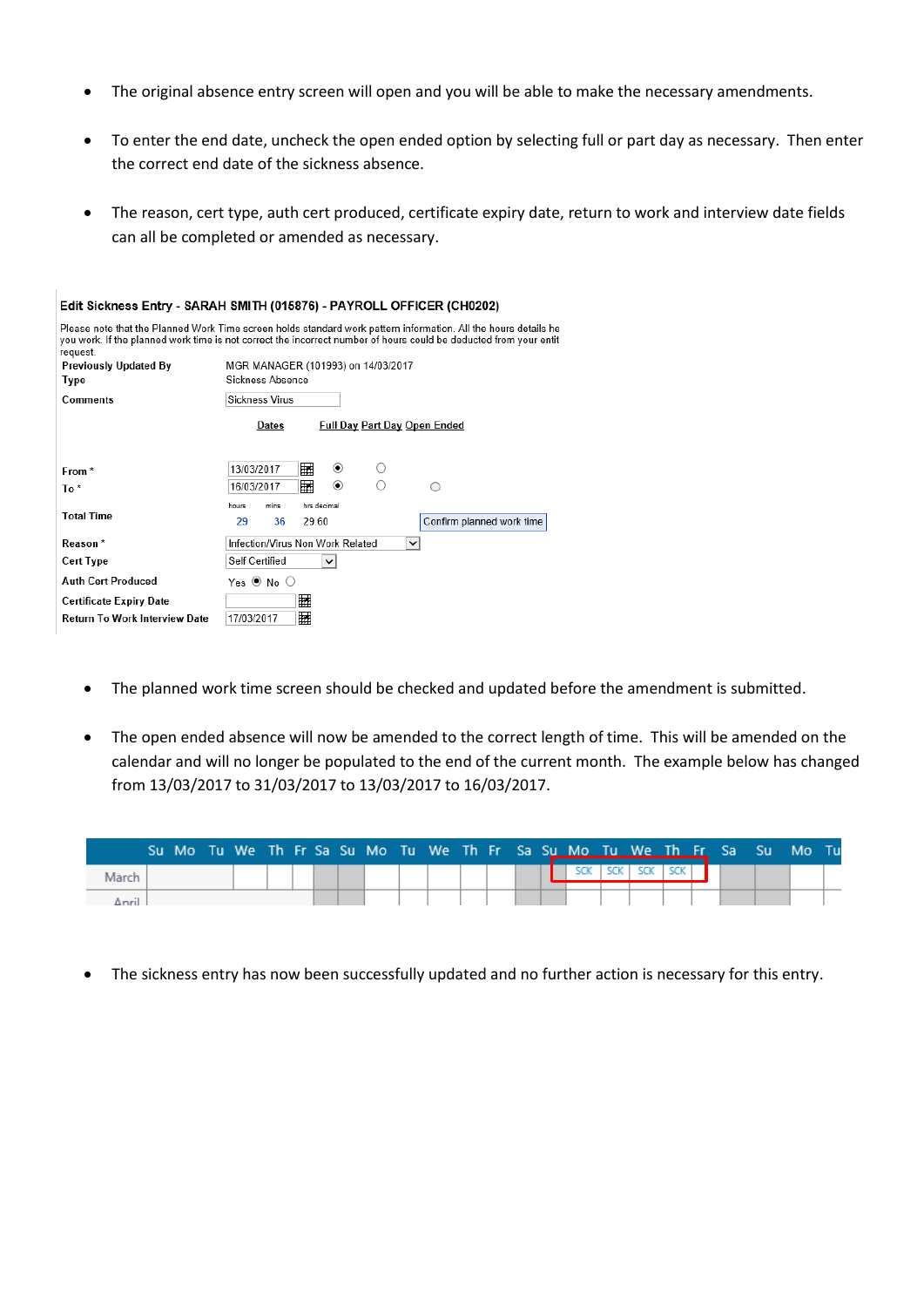- The original absence entry screen will open and you will be able to make the necessary amendments.
- To enter the end date, uncheck the open ended option by selecting full or part day as necessary. Then enter the correct end date of the sickness absence.
- The reason, cert type, auth cert produced, certificate expiry date, return to work and interview date fields can all be completed or amended as necessary.

|                                | Edit Sickness Entry - SARAH SMITH (015876) - PAYROLL OFFICER (CH0202)                                                                                                                                                                |
|--------------------------------|--------------------------------------------------------------------------------------------------------------------------------------------------------------------------------------------------------------------------------------|
| request.                       | Please note that the Planned Work Time screen holds standard work pattern information. All the hours details he<br>you work. If the planned work time is not correct the incorrect number of hours could be deducted from your entit |
| Previously Updated By          | MGR MANAGER (101993) on 14/03/2017                                                                                                                                                                                                   |
| Type                           | Sickness Absence                                                                                                                                                                                                                     |
| Comments                       | Sickness Virus                                                                                                                                                                                                                       |
|                                | <b>Full Day Part Day Open Ended</b><br>Dates                                                                                                                                                                                         |
| From *                         | 翩<br>$\circledbullet$<br>13/03/2017<br>翩<br>$\odot$<br>16/03/2017                                                                                                                                                                    |
| To*                            |                                                                                                                                                                                                                                      |
| <b>Total Time</b>              | hrs decimal<br>mins<br>hours<br>36<br>Confirm planned work time<br>29<br>29.60                                                                                                                                                       |
| Reason*                        | Infection/Virus Non Work Related<br>$\checkmark$                                                                                                                                                                                     |
| Cert Type                      | Self Certified<br>$\checkmark$                                                                                                                                                                                                       |
| Auth Cert Produced             | Yes $\odot$ No $\odot$                                                                                                                                                                                                               |
| <b>Certificate Expiry Date</b> | 镾                                                                                                                                                                                                                                    |
| Return To Work Interview Date  | 镾<br>17/03/2017                                                                                                                                                                                                                      |
|                                |                                                                                                                                                                                                                                      |

- The planned work time screen should be checked and updated before the amendment is submitted.
- The open ended absence will now be amended to the correct length of time. This will be amended on the calendar and will no longer be populated to the end of the current month. The example below has changed from 13/03/2017 to 31/03/2017 to 13/03/2017 to 16/03/2017.

|       |  |  |  |  |  |  |  |  |                    |  | Su Mo Tu We Th Fr Sa Su Mo Tu We Th Fr Sa Su Mo Tu We Th Fr Sa Su Mo Tu |  |  |
|-------|--|--|--|--|--|--|--|--|--------------------|--|-------------------------------------------------------------------------|--|--|
|       |  |  |  |  |  |  |  |  | SCK ISCK ISCK ISCK |  |                                                                         |  |  |
| Anril |  |  |  |  |  |  |  |  |                    |  |                                                                         |  |  |

The sickness entry has now been successfully updated and no further action is necessary for this entry.